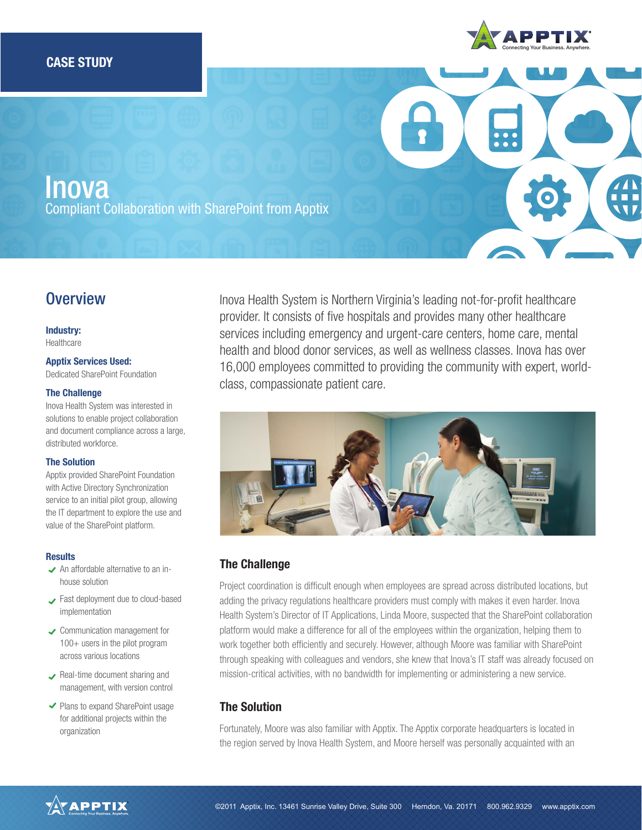

**Inova** Compliant Collaboration with SharePoint from Apptix

# **Overview**

#### Industry:

Healthcare

#### Apptix Services Used:

Dedicated SharePoint Foundation

#### The Challenge

Inova Health System was interested in solutions to enable project collaboration and document compliance across a large, distributed workforce.

#### The Solution

Apptix provided SharePoint Foundation with Active Directory Synchronization service to an initial pilot group, allowing the IT department to explore the use and value of the SharePoint platform.

#### **Results**

- $\blacktriangleright$  An affordable alternative to an inhouse solution
- Fast deployment due to cloud-based implementation
- **◆ Communication management for** 100+ users in the pilot program across various locations
- Real-time document sharing and management, with version control
- ◆ Plans to expand SharePoint usage for additional projects within the organization

Inova Health System is Northern Virginia's leading not-for-profit healthcare provider. It consists of five hospitals and provides many other healthcare services including emergency and urgent-care centers, home care, mental health and blood donor services, as well as wellness classes. Inova has over 16,000 employees committed to providing the community with expert, worldclass, compassionate patient care.



# The Challenge

Project coordination is difficult enough when employees are spread across distributed locations, but adding the privacy regulations healthcare providers must comply with makes it even harder. Inova Health System's Director of IT Applications, Linda Moore, suspected that the SharePoint collaboration platform would make a difference for all of the employees within the organization, helping them to work together both efficiently and securely. However, although Moore was familiar with SharePoint through speaking with colleagues and vendors, she knew that Inova's IT staff was already focused on mission-critical activities, with no bandwidth for implementing or administering a new service.

# The Solution

Fortunately, Moore was also familiar with Apptix. The Apptix corporate headquarters is located in the region served by Inova Health System, and Moore herself was personally acquainted with an